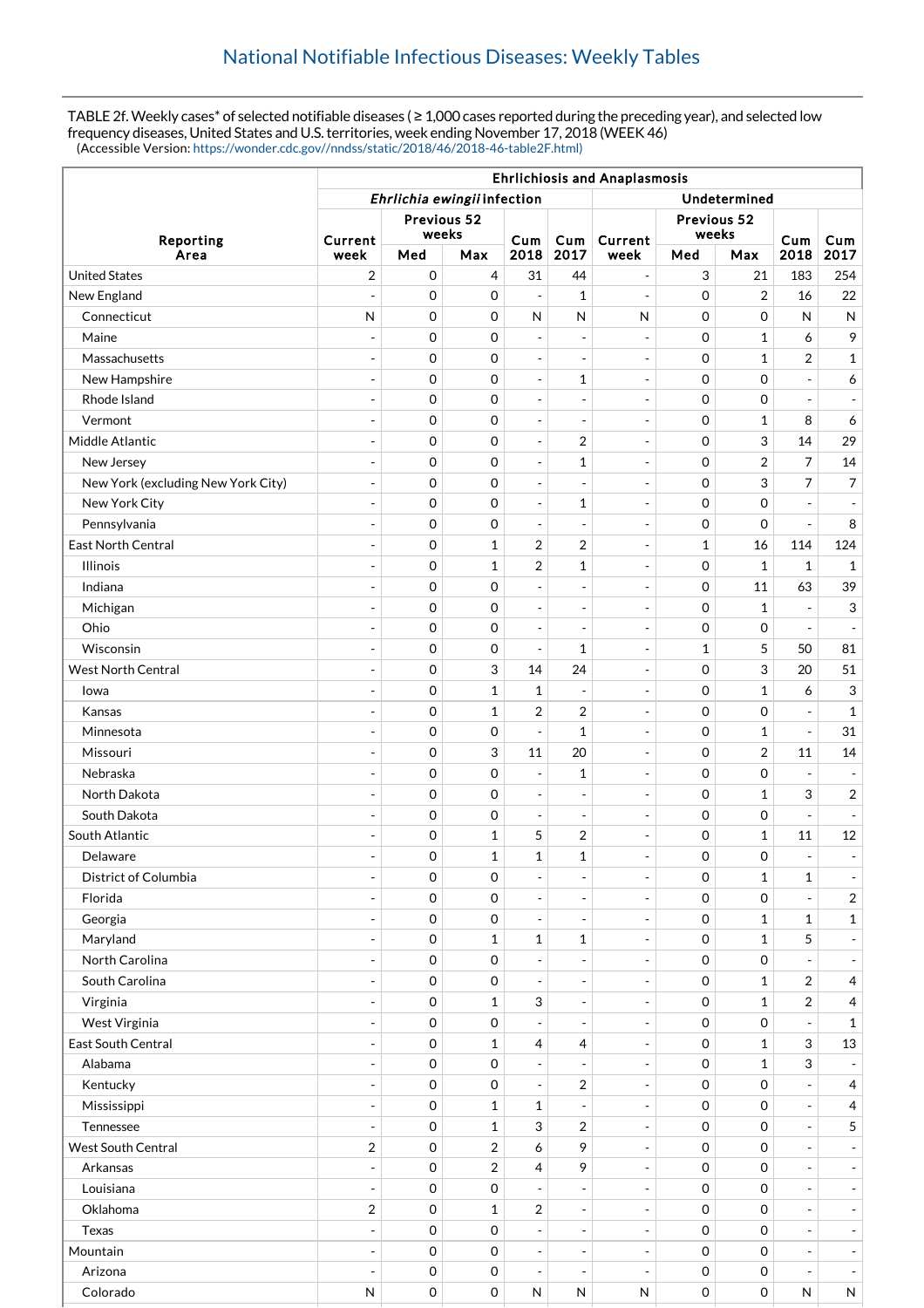TABLE 2f. Weekly cases\* of selected notifiable diseases ( ≥ 1,000 cases reported during the preceding year), and selected low frequency diseases, United States and U.S. territories, week ending November 17, 2018 (WEEK 46) (Accessible Version: [https://wonder.cdc.gov//nndss/static/2018/46/2018-46-table2F.html\)](https://wonder.cdc.gov//nndss/static/2018/46/2018-46-table2F.html)

|                                    | <b>Ehrlichiosis and Anaplasmosis</b>        |                     |                         |                          |                              |                                                      |                      |                  |                           |                                                      |
|------------------------------------|---------------------------------------------|---------------------|-------------------------|--------------------------|------------------------------|------------------------------------------------------|----------------------|------------------|---------------------------|------------------------------------------------------|
|                                    | Ehrlichia ewingii infection<br>Undetermined |                     |                         |                          |                              |                                                      |                      |                  |                           |                                                      |
|                                    | Previous 52<br>weeks                        |                     |                         |                          |                              |                                                      | Previous 52<br>weeks |                  |                           |                                                      |
| Reporting<br>Area                  | Current<br>week                             | Med                 | Max                     | Cum<br>2018              | Cum<br>2017                  | Current<br>week                                      | Med                  | Max              | Cum<br>2018               | <b>Cum</b><br>2017                                   |
| <b>United States</b>               | 2                                           | $\mathbf 0$         | 4                       | 31                       | 44                           | $\overline{\phantom{a}}$                             | 3                    | 21               | 183                       | 254                                                  |
| New England                        | $\overline{a}$                              | $\mathbf 0$         | 0                       | $\overline{\phantom{a}}$ | $\mathbf{1}$                 | $\overline{\phantom{a}}$                             | 0                    | $\overline{2}$   | 16                        | 22                                                   |
| Connecticut                        | N                                           | 0                   | 0                       | ${\sf N}$                | ${\sf N}$                    | $\mathsf{N}$                                         | 0                    | $\mathbf 0$      | N                         | $\mathsf{N}$                                         |
| Maine                              | $\overline{\phantom{a}}$                    | $\mathbf 0$         | 0                       | $\overline{\phantom{a}}$ | $\overline{\phantom{a}}$     | $\overline{\phantom{a}}$                             | 0                    | $\mathbf{1}$     | 6                         | 9                                                    |
| Massachusetts                      | $\overline{a}$                              | 0                   | 0                       | $\overline{\phantom{a}}$ | $\overline{a}$               | $\blacksquare$                                       | 0                    | $\mathbf{1}$     | 2                         | $\mathbf{1}$                                         |
| New Hampshire                      | $\overline{a}$                              | $\mathbf 0$         | 0                       | $\overline{\phantom{a}}$ | 1                            | $\overline{\phantom{a}}$                             | 0                    | $\mathbf 0$      | $\overline{\phantom{a}}$  | 6                                                    |
| Rhode Island                       | $\overline{a}$                              | $\mathbf 0$         | 0                       | $\sim$                   | $\overline{\phantom{a}}$     | $\overline{\phantom{a}}$                             | 0                    | $\mathbf 0$      | $\overline{\phantom{a}}$  | $\equiv$                                             |
| Vermont                            | $\overline{a}$                              | $\mathbf 0$         | 0                       | $\overline{\phantom{a}}$ | $\overline{\phantom{a}}$     | $\overline{\phantom{a}}$                             | 0                    | $\mathbf{1}$     | 8                         | 6                                                    |
| Middle Atlantic                    | $\overline{\phantom{a}}$                    | $\mathbf 0$         | $\mathbf 0$             | $\overline{\phantom{a}}$ | $\overline{2}$               | $\sim$                                               | 0                    | 3                | 14                        | 29                                                   |
| New Jersey                         |                                             | $\mathbf 0$         | 0                       | $\overline{\phantom{a}}$ | 1                            | $\overline{\phantom{a}}$                             | 0                    | $\overline{2}$   | $\overline{7}$            | 14                                                   |
| New York (excluding New York City) | $\overline{\phantom{a}}$                    | $\mathbf 0$         | 0                       | $\overline{\phantom{a}}$ | $\overline{\phantom{a}}$     | $\overline{\phantom{a}}$                             | 0                    | 3                | $\overline{7}$            | $\overline{7}$                                       |
| New York City                      | $\overline{a}$                              | $\mathbf 0$         | 0                       | $\overline{\phantom{a}}$ | $\mathbf{1}$                 | $\overline{\phantom{a}}$                             | 0                    | $\mathbf 0$      |                           | $\overline{\phantom{a}}$                             |
| Pennsylvania                       | ÷,                                          | $\mathbf 0$         | 0                       | $\overline{\phantom{a}}$ | $\overline{\phantom{a}}$     | $\overline{\phantom{a}}$                             | 0                    | $\mathbf 0$      | $\blacksquare$            | 8                                                    |
| East North Central                 | $\overline{a}$                              | 0                   | $\mathbf{1}$            | 2                        | 2                            | $\blacksquare$                                       | 1                    | 16               | 114                       | 124                                                  |
| <b>Illinois</b>                    | $\overline{a}$                              | $\mathbf 0$         | $\mathbf{1}$            | $\overline{2}$           | $\mathbf{1}$                 | $\overline{\phantom{a}}$                             | 0                    | $\mathbf{1}$     | $\mathbf{1}$              | $\mathbf{1}$                                         |
| Indiana                            | $\overline{a}$                              | 0                   | 0                       | $\overline{\phantom{a}}$ |                              | $\blacksquare$                                       | 0                    | 11               | 63                        | 39                                                   |
| Michigan                           | $\overline{\phantom{a}}$                    | $\mathbf 0$         | 0                       | $\overline{\phantom{a}}$ | $\overline{\phantom{a}}$     | $\overline{\phantom{a}}$                             | 0                    | $\mathbf{1}$     |                           | 3                                                    |
| Ohio                               | $\overline{\phantom{a}}$                    | 0                   | 0                       | $\sim$                   | $\overline{\phantom{a}}$     | $\overline{\phantom{a}}$                             | 0                    | $\mathbf 0$      |                           | $\overline{\phantom{a}}$                             |
| Wisconsin                          | $\overline{a}$                              | $\mathbf 0$         | 0                       | $\overline{\phantom{a}}$ | 1                            | $\overline{\phantom{a}}$                             | 1                    | 5                | 50                        | 81                                                   |
| <b>West North Central</b>          | $\overline{a}$                              | $\mathbf 0$         | 3                       | 14                       | 24                           | $\sim$                                               | 0                    | 3                | 20                        | 51                                                   |
| lowa                               | $\overline{a}$                              | $\mathbf 0$         | $\mathbf{1}$            | 1                        | $\overline{\phantom{a}}$     | $\overline{\phantom{a}}$                             | 0                    | $\mathbf{1}$     | 6                         | 3                                                    |
| Kansas                             | $\overline{\phantom{a}}$                    | $\mathbf 0$         | $\mathbf 1$             | 2                        | 2                            | $\overline{\phantom{a}}$                             | 0                    | $\mathbf 0$      | $\overline{\phantom{a}}$  | $\mathbf{1}$                                         |
| Minnesota                          |                                             | $\mathbf 0$         | 0                       | $\overline{\phantom{a}}$ | 1                            | $\overline{\phantom{a}}$                             | 0                    | $\mathbf{1}$     | $\bar{\phantom{a}}$       | 31                                                   |
| Missouri                           | ÷,                                          | $\mathbf 0$         | 3                       | 11                       | 20                           | $\overline{\phantom{a}}$                             | 0                    | $\overline{2}$   | 11                        | 14                                                   |
| Nebraska                           | $\overline{a}$                              | 0                   | 0                       | $\overline{\phantom{a}}$ | 1                            | $\sim$                                               | 0                    | $\mathbf 0$      | $\overline{a}$            | $\overline{\phantom{a}}$                             |
| North Dakota                       | ÷,                                          | $\mathbf 0$         | 0                       | $\overline{\phantom{a}}$ | $\overline{\phantom{a}}$     | $\overline{\phantom{a}}$                             | 0                    | $\mathbf{1}$     | 3                         | $\overline{c}$                                       |
| South Dakota                       |                                             | 0                   | 0                       | $\overline{\phantom{a}}$ | $\overline{\phantom{a}}$     | $\overline{a}$                                       | 0                    | $\mathbf 0$      | $\overline{\phantom{a}}$  | $\blacksquare$                                       |
| South Atlantic                     | $\overline{a}$                              | $\mathbf 0$         | $\mathbf{1}$            | 5                        | 2                            | $\overline{\phantom{a}}$                             | 0                    | 1                | 11                        | 12                                                   |
| Delaware                           | $\overline{a}$                              | $\mathbf 0$         | $\mathbf{1}$            | $\mathbf{1}$             | $\mathbf{1}$                 | $\overline{\phantom{0}}$                             | 0                    | 0                | $\blacksquare$            | $\overline{\phantom{a}}$                             |
| <b>District of Columbia</b>        | $\overline{\phantom{0}}$                    | $\mathbf 0$         | 0                       | $\overline{\phantom{a}}$ | $\overline{\phantom{a}}$     | $\overline{\phantom{a}}$                             | 0                    | $\mathbf{1}$     | $\mathbf{1}$              | $\overline{\phantom{a}}$                             |
| Florida                            | $\overline{\phantom{a}}$                    | 0                   | 0                       | $\overline{\phantom{a}}$ | $\overline{\phantom{a}}$     | $\sim$                                               | 0                    | 0                | $\equiv$                  | $\overline{2}$                                       |
| Georgia                            |                                             | $\mathsf{O}\xspace$ | 0                       | $\overline{\phantom{a}}$ |                              | $\overline{\phantom{a}}$                             | 0                    | $\mathbf{1}$     | $\mathbf{1}$              | $\mathbf{1}$                                         |
| Maryland                           |                                             | 0                   | $\mathbf{1}$            | $\mathbf{1}$             | $\mathbf 1$                  | $\overline{\phantom{a}}$                             | 0                    | $\mathbf{1}$     | 5                         | $\overline{\phantom{a}}$                             |
| North Carolina                     | $\overline{a}$                              | 0                   | 0                       | $\overline{\phantom{a}}$ |                              | $\overline{\phantom{a}}$                             | 0                    | 0                |                           | $\overline{\phantom{a}}$                             |
| South Carolina                     | $\overline{\phantom{a}}$                    | $\mathbf 0$         | 0                       | $\overline{\phantom{a}}$ | $\overline{\phantom{a}}$     | $\overline{\phantom{a}}$                             | 0                    | $\mathbf{1}$     | $\sqrt{2}$                | $\overline{4}$                                       |
| Virginia                           |                                             | 0                   | $\mathbf{1}$            | 3                        | $\overline{\phantom{a}}$     | $\overline{\phantom{a}}$                             | 0                    | $\mathbf{1}$     | $\overline{2}$            | $\overline{4}$                                       |
| West Virginia                      | $\overline{\phantom{a}}$                    | $\mathbf 0$         | 0                       | $\overline{\phantom{a}}$ | $\overline{\phantom{a}}$     | $\overline{\phantom{a}}$                             | 0                    | $\mathbf 0$      |                           | $\mathbf{1}$                                         |
| East South Central                 |                                             | 0                   | $\mathbf{1}$            | 4                        | 4                            | $\overline{\phantom{a}}$                             | 0                    | $\mathbf{1}$     | $\mathfrak{S}$            | 13                                                   |
| Alabama                            | $\overline{\phantom{a}}$                    | $\mathbf 0$         | 0                       | $\overline{\phantom{a}}$ | $\overline{\phantom{a}}$     | $\overline{\phantom{a}}$                             | 0                    | $\mathbf{1}$     | $\ensuremath{\mathsf{3}}$ | $\overline{\phantom{a}}$                             |
| Kentucky                           | $\overline{a}$                              | 0                   | 0                       | $\blacksquare$           | $\overline{2}$               | $\blacksquare$                                       | 0                    | 0                | $\overline{\phantom{a}}$  | $\overline{4}$                                       |
| Mississippi                        | $\overline{\phantom{a}}$                    | $\mathbf 0$         | $\mathbf{1}$            | 1                        | $\overline{\phantom{a}}$     | $\overline{\phantom{a}}$                             | 0                    | $\mathbf 0$      | $\blacksquare$            | $\overline{4}$                                       |
| Tennessee                          | $\overline{a}$                              | 0                   | $\mathbf{1}$            | 3                        | $\overline{2}$               | $\sim$                                               | 0                    | 0                | $\overline{\phantom{a}}$  | $5\phantom{.0}$                                      |
| <b>West South Central</b>          | $\sqrt{2}$                                  | 0                   |                         | 6                        | 9                            |                                                      | 0                    | 0                | $\overline{\phantom{a}}$  |                                                      |
| Arkansas                           |                                             | 0                   | $\overline{\mathbf{c}}$ | 4                        | 9                            | $\overline{\phantom{a}}$<br>$\overline{\phantom{a}}$ |                      |                  | $\overline{a}$            | $\overline{\phantom{a}}$<br>$\overline{\phantom{a}}$ |
| Louisiana                          | $\overline{\phantom{a}}$                    | 0                   | 2<br>0                  |                          |                              |                                                      | 0<br>0               | 0<br>$\mathbf 0$ |                           |                                                      |
|                                    |                                             |                     |                         |                          |                              | $\overline{\phantom{a}}$                             |                      |                  | $\overline{\phantom{a}}$  | $\sim$                                               |
| Oklahoma                           | $\sqrt{2}$                                  | 0                   | $\mathbf 1$             | $\sqrt{2}$               | $\overline{\phantom{a}}$     | $\overline{\phantom{a}}$                             | 0                    | 0                | $\overline{\phantom{a}}$  | $\overline{\phantom{a}}$                             |
| Texas                              | $\overline{a}$                              | 0                   | 0                       | $\overline{\phantom{a}}$ | $\overline{\phantom{a}}$     | $\overline{\phantom{a}}$                             | 0                    | 0                | $\blacksquare$            | $\blacksquare$                                       |
| Mountain                           | $\overline{a}$                              | $\mathbf 0$         | 0                       | $\overline{\phantom{a}}$ | $\qquad \qquad \blacksquare$ | $\overline{\phantom{a}}$                             | 0                    | $\mathbf 0$      | $\blacksquare$            | $\overline{\phantom{a}}$                             |
| Arizona                            | $\overline{a}$                              | 0                   | 0                       | $\overline{\phantom{a}}$ | $\overline{\phantom{a}}$     | $\blacksquare$                                       | 0                    | 0                | $\overline{\phantom{a}}$  | $\overline{\phantom{a}}$                             |
| Colorado                           | N                                           | 0                   | 0                       | N                        | N                            | N                                                    | 0                    | $\mathbf 0$      | ${\sf N}$                 | N                                                    |